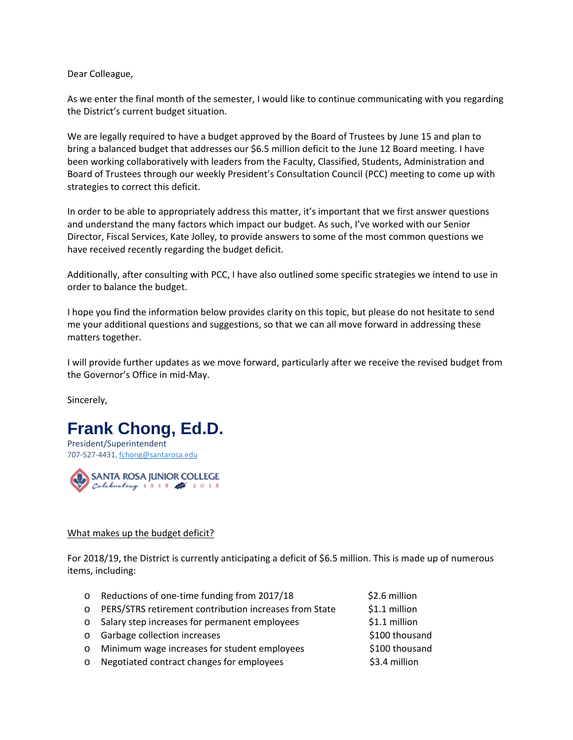Dear Colleague,

As we enter the final month of the semester, I would like to continue communicating with you regarding the District's current budget situation.

We are legally required to have a budget approved by the Board of Trustees by June 15 and plan to bring a balanced budget that addresses our \$6.5 million deficit to the June 12 Board meeting. I have been working collaboratively with leaders from the Faculty, Classified, Students, Administration and Board of Trustees through our weekly President's Consultation Council (PCC) meeting to come up with strategies to correct this deficit.

In order to be able to appropriately address this matter, it's important that we first answer questions and understand the many factors which impact our budget. As such, I've worked with our Senior Director, Fiscal Services, Kate Jolley, to provide answers to some of the most common questions we have received recently regarding the budget deficit.

Additionally, after consulting with PCC, I have also outlined some specific strategies we intend to use in order to balance the budget.

I hope you find the information below provides clarity on this topic, but please do not hesitate to send me your additional questions and suggestions, so that we can all move forward in addressing these matters together.

I will provide further updates as we move forward, particularly after we receive the revised budget from the Governor's Office in mid-May.

Sincerely,





## What makes up the budget deficit?

For 2018/19, the District is currently anticipating a deficit of \$6.5 million. This is made up of numerous items, including:

- o Reductions of one-time funding from 2017/18 \$2.6 million  $\circ$  PERS/STRS retirement contribution increases from State  $\qquad$  \$1.1 million o Salary step increases for permanent employees \$1.1 million o Garbage collection increases  $\frac{1}{2}$  and  $\frac{1}{2}$  substituting  $\frac{1}{2}$  substituting  $\frac{1}{2}$ o Minimum wage increases for student employees \$100 thousand o Negotiated contract changes for employees \$3.4 million
	-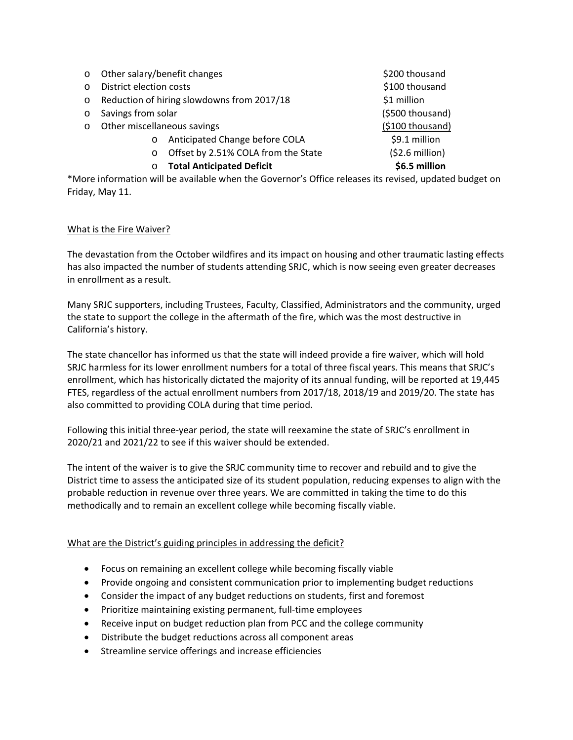| $\circ$                                                                                                 | Other salary/benefit changes               |                                     | \$200 thousand   |
|---------------------------------------------------------------------------------------------------------|--------------------------------------------|-------------------------------------|------------------|
| $\circ$                                                                                                 | District election costs                    |                                     | \$100 thousand   |
| O                                                                                                       | Reduction of hiring slowdowns from 2017/18 |                                     | \$1 million      |
| O                                                                                                       | Savings from solar                         |                                     | (\$500 thousand) |
| $\circ$                                                                                                 | Other miscellaneous savings                |                                     | (\$100 thousand) |
|                                                                                                         | $\circ$                                    | Anticipated Change before COLA      | \$9.1 million    |
|                                                                                                         | $\circ$                                    | Offset by 2.51% COLA from the State | $(52.6$ million) |
|                                                                                                         | $\circ$                                    | <b>Total Anticipated Deficit</b>    | \$6.5 million    |
| More information will be available when the Governor's Office releases its revised, updated budget on** |                                            |                                     |                  |

## What is the Fire Waiver?

Friday, May 11.

The devastation from the October wildfires and its impact on housing and other traumatic lasting effects has also impacted the number of students attending SRJC, which is now seeing even greater decreases in enrollment as a result.

Many SRJC supporters, including Trustees, Faculty, Classified, Administrators and the community, urged the state to support the college in the aftermath of the fire, which was the most destructive in California's history.

The state chancellor has informed us that the state will indeed provide a fire waiver, which will hold SRJC harmless for its lower enrollment numbers for a total of three fiscal years. This means that SRJC's enrollment, which has historically dictated the majority of its annual funding, will be reported at 19,445 FTES, regardless of the actual enrollment numbers from 2017/18, 2018/19 and 2019/20. The state has also committed to providing COLA during that time period.

Following this initial three-year period, the state will reexamine the state of SRJC's enrollment in 2020/21 and 2021/22 to see if this waiver should be extended.

The intent of the waiver is to give the SRJC community time to recover and rebuild and to give the District time to assess the anticipated size of its student population, reducing expenses to align with the probable reduction in revenue over three years. We are committed in taking the time to do this methodically and to remain an excellent college while becoming fiscally viable.

## What are the District's guiding principles in addressing the deficit?

- Focus on remaining an excellent college while becoming fiscally viable
- Provide ongoing and consistent communication prior to implementing budget reductions
- Consider the impact of any budget reductions on students, first and foremost
- Prioritize maintaining existing permanent, full-time employees
- Receive input on budget reduction plan from PCC and the college community
- Distribute the budget reductions across all component areas
- Streamline service offerings and increase efficiencies